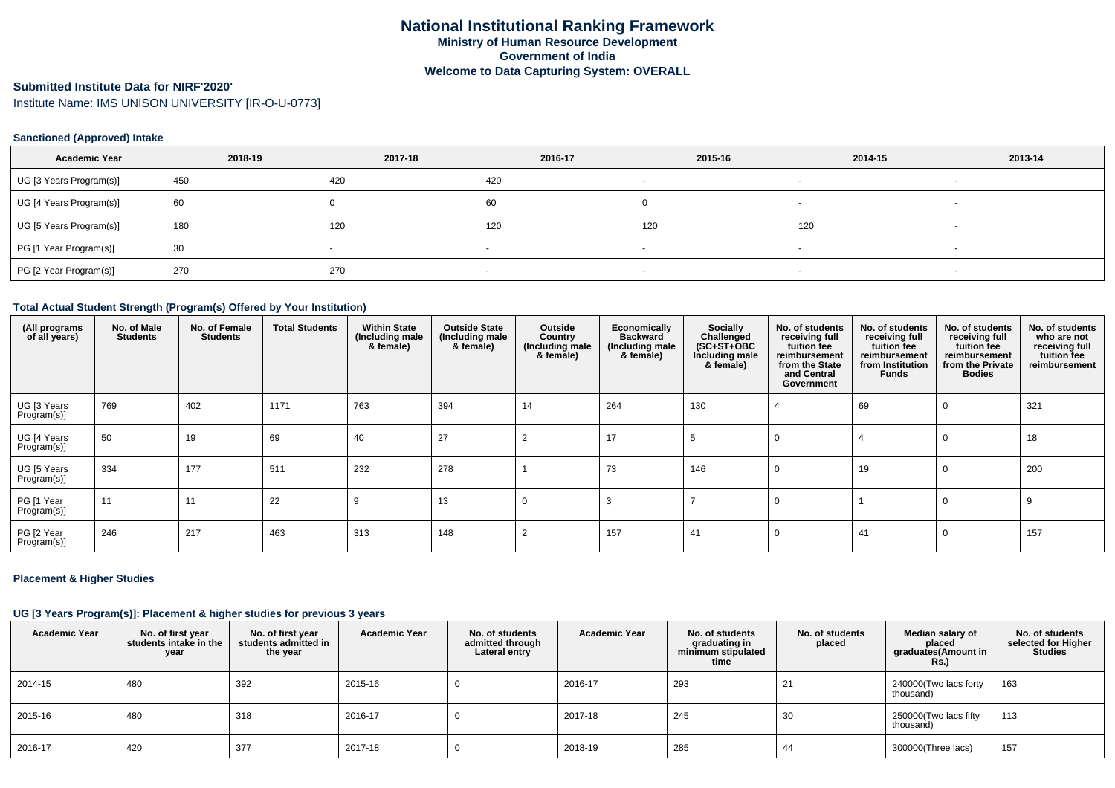# **Submitted Institute Data for NIRF'2020'**

# Institute Name: IMS UNISON UNIVERSITY [IR-O-U-0773]

### **Sanctioned (Approved) Intake**

| <b>Academic Year</b>    | 2018-19 | 2017-18 | 2016-17 | 2015-16 | 2014-15 | 2013-14 |
|-------------------------|---------|---------|---------|---------|---------|---------|
| UG [3 Years Program(s)] | 450     | 420     | 420     |         |         |         |
| UG [4 Years Program(s)] | 60      |         | 60      |         |         |         |
| UG [5 Years Program(s)] | 180     | 120     | 120     | 120     | 120     |         |
| PG [1 Year Program(s)]  | 30      |         |         |         |         |         |
| PG [2 Year Program(s)]  | 270     | 270     |         |         |         |         |

#### **Total Actual Student Strength (Program(s) Offered by Your Institution)**

| (All programs<br>of all years) | No. of Male<br><b>Students</b> | No. of Female<br><b>Students</b> | <b>Total Students</b> | <b>Within State</b><br>(Including male<br>& female) | <b>Outside State</b><br>(Including male<br>& female) | Outside<br>Country<br>(Including male<br>& female) | Economically<br><b>Backward</b><br>(Including male<br>& female) | Socially<br>Challenged<br>$(SC+ST+OBC)$<br>Including male<br>& female) | No. of students<br>receiving full<br>tuition fee<br>reimbursement<br>from the State<br>and Central<br>Government | No. of students<br>receiving full<br>tuition fee<br>reimbursement<br>from Institution<br>Funds | No. of students<br>receiving full<br>tuition fee<br>reimbursement<br>from the Private<br><b>Bodies</b> | No. of students<br>who are not<br>receiving full<br>tuition fee<br>reimbursement |
|--------------------------------|--------------------------------|----------------------------------|-----------------------|-----------------------------------------------------|------------------------------------------------------|----------------------------------------------------|-----------------------------------------------------------------|------------------------------------------------------------------------|------------------------------------------------------------------------------------------------------------------|------------------------------------------------------------------------------------------------|--------------------------------------------------------------------------------------------------------|----------------------------------------------------------------------------------|
| UG [3 Years<br>Program(s)]     | 769                            | 402                              | 1171                  | 763                                                 | 394                                                  | 14                                                 | 264                                                             | 130                                                                    |                                                                                                                  | 69                                                                                             |                                                                                                        | 321                                                                              |
| UG [4 Years<br>Program(s)]     | 50                             | 19                               | 69                    | 40                                                  | 27                                                   |                                                    | 17                                                              | .5                                                                     |                                                                                                                  |                                                                                                |                                                                                                        | 18                                                                               |
| UG [5 Years<br>Program(s)]     | 334                            | 177                              | 511                   | 232                                                 | 278                                                  |                                                    | 73                                                              | 146                                                                    |                                                                                                                  | 19                                                                                             |                                                                                                        | 200                                                                              |
| PG [1 Year<br>Program(s)]      | 11                             | 11                               | 22                    | 9                                                   | 13                                                   | 0                                                  |                                                                 |                                                                        |                                                                                                                  |                                                                                                |                                                                                                        |                                                                                  |
| PG [2 Year<br>Program(s)]      | 246                            | 217                              | 463                   | 313                                                 | 148                                                  |                                                    | 157                                                             | 41                                                                     |                                                                                                                  | 41                                                                                             |                                                                                                        | 157                                                                              |

### **Placement & Higher Studies**

### **UG [3 Years Program(s)]: Placement & higher studies for previous 3 years**

| <b>Academic Year</b> | No. of first year<br>students intake in the<br>year | No. of first year<br>students admitted in<br>the year | <b>Academic Year</b> | No. of students<br>admitted through<br>Lateral entry | <b>Academic Year</b> | No. of students<br>graduating in<br>minimum stipulated<br>time | No. of students<br>placed | Median salary of<br>placed<br>graduates(Amount in<br><b>Rs.)</b> | No. of students<br>selected for Higher<br><b>Studies</b> |
|----------------------|-----------------------------------------------------|-------------------------------------------------------|----------------------|------------------------------------------------------|----------------------|----------------------------------------------------------------|---------------------------|------------------------------------------------------------------|----------------------------------------------------------|
| 2014-15              | 480                                                 | 392                                                   | 2015-16              |                                                      | 2016-17              | 293                                                            | 21                        | 240000(Two lacs forty<br>thousand)                               | 163                                                      |
| 2015-16              | 480                                                 | 318                                                   | 2016-17              |                                                      | 2017-18              | 245                                                            | 30                        | 250000(Two lacs fifty<br>thousand)                               | 113                                                      |
| 2016-17              | 420                                                 | 377                                                   | 2017-18              |                                                      | 2018-19              | 285                                                            | 44                        | 300000(Three lacs)                                               | 157                                                      |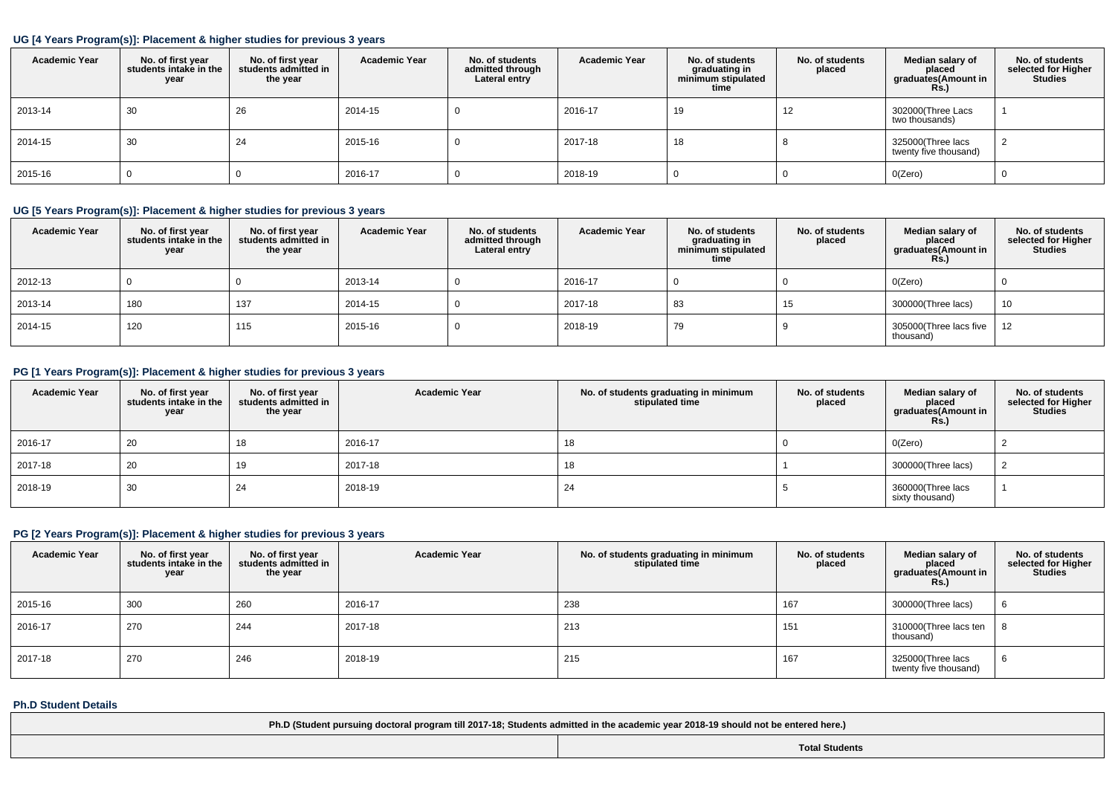### **UG [4 Years Program(s)]: Placement & higher studies for previous 3 years**

| <b>Academic Year</b> | No. of first year<br>students intake in the<br>year | No. of first year<br>students admitted in<br>the year | <b>Academic Year</b> | No. of students<br>admitted through<br>Lateral entry | <b>Academic Year</b> | No. of students<br>graduating in<br>minimum stipulated<br>time | No. of students<br>placed | Median salary of<br>placed<br>graduates(Amount in<br>Rs. | No. of students<br>selected for Higher<br><b>Studies</b> |
|----------------------|-----------------------------------------------------|-------------------------------------------------------|----------------------|------------------------------------------------------|----------------------|----------------------------------------------------------------|---------------------------|----------------------------------------------------------|----------------------------------------------------------|
| 2013-14              | 30                                                  | 26                                                    | 2014-15              | υ                                                    | 2016-17              | 19                                                             | 12                        | 302000(Three Lacs<br>two thousands)                      |                                                          |
| 2014-15              | 30                                                  | 24                                                    | 2015-16              | υ                                                    | 2017-18              | 18                                                             |                           | 325000(Three lacs<br>twenty five thousand)               |                                                          |
| 2015-16              |                                                     |                                                       | 2016-17              | υ                                                    | 2018-19              | υ                                                              |                           | O(Zero)                                                  |                                                          |

## **UG [5 Years Program(s)]: Placement & higher studies for previous 3 years**

| <b>Academic Year</b> | No. of first year<br>students intake in the<br>year | No. of first year<br>students admitted in<br>the year | <b>Academic Year</b> | No. of students<br>admitted through<br>Lateral entry | <b>Academic Year</b> | No. of students<br>graduating in<br>minimum stipulated<br>time | No. of students<br>placed | Median salary of<br>placed<br>graduates(Amount in<br><b>Rs.)</b> | No. of students<br>selected for Higher<br><b>Studies</b> |
|----------------------|-----------------------------------------------------|-------------------------------------------------------|----------------------|------------------------------------------------------|----------------------|----------------------------------------------------------------|---------------------------|------------------------------------------------------------------|----------------------------------------------------------|
| 2012-13              |                                                     |                                                       | 2013-14              |                                                      | 2016-17              |                                                                |                           | O(Zero)                                                          |                                                          |
| 2013-14              | 180                                                 | 137                                                   | 2014-15              |                                                      | 2017-18              | 83                                                             | 15                        | 300000(Three lacs)                                               | 10                                                       |
| 2014-15              | 120                                                 | 115                                                   | 2015-16              |                                                      | 2018-19              | 79                                                             |                           | 305000(Three lacs five<br>thousand)                              | $12 \overline{ }$                                        |

## **PG [1 Years Program(s)]: Placement & higher studies for previous 3 years**

| <b>Academic Year</b> | No. of first year<br>students intake in the<br>year | No. of first year<br>students admitted in<br>the year | <b>Academic Year</b> | No. of students graduating in minimum<br>stipulated time | No. of students<br>placed | Median salary of<br>placed<br>graduates(Amount in<br><b>Rs.)</b> | No. of students<br>selected for Higher<br><b>Studies</b> |
|----------------------|-----------------------------------------------------|-------------------------------------------------------|----------------------|----------------------------------------------------------|---------------------------|------------------------------------------------------------------|----------------------------------------------------------|
| 2016-17              | 20                                                  | 18                                                    | 2016-17              | 18                                                       |                           | O(Zero)                                                          |                                                          |
| 2017-18              | 20                                                  | 19                                                    | 2017-18              | 18                                                       |                           | 300000(Three lacs)                                               |                                                          |
| 2018-19              | 30                                                  | 24                                                    | 2018-19              | 24                                                       |                           | 360000(Three lacs<br>sixty thousand)                             |                                                          |

## **PG [2 Years Program(s)]: Placement & higher studies for previous 3 years**

| <b>Academic Year</b> | No. of first year<br>students intake in the<br>year | No. of first year<br>students admitted in<br>the year | <b>Academic Year</b> | No. of students graduating in minimum<br>stipulated time | No. of students<br>placed | Median salary of<br>placed<br>graduates(Amount in<br><b>Rs.)</b> | No. of students<br>selected for Higher<br><b>Studies</b> |
|----------------------|-----------------------------------------------------|-------------------------------------------------------|----------------------|----------------------------------------------------------|---------------------------|------------------------------------------------------------------|----------------------------------------------------------|
| 2015-16              | 300                                                 | 260                                                   | 2016-17              | 238                                                      | 167                       | 300000(Three lacs)                                               |                                                          |
| 2016-17              | 270                                                 | 244                                                   | 2017-18              | 213                                                      | 151                       | 310000(Three lacs ten<br>thousand)                               |                                                          |
| 2017-18              | 270                                                 | 246                                                   | 2018-19              | 215                                                      | 167                       | 325000(Three lacs<br>twenty five thousand)                       |                                                          |

#### **Ph.D Student Details**

| Ph.D (Student pursuing doctoral program till 2017-18; Students admitted in the academic year 2018-19 should not be entered here.) |                       |  |  |  |  |
|-----------------------------------------------------------------------------------------------------------------------------------|-----------------------|--|--|--|--|
|                                                                                                                                   | <b>Total Students</b> |  |  |  |  |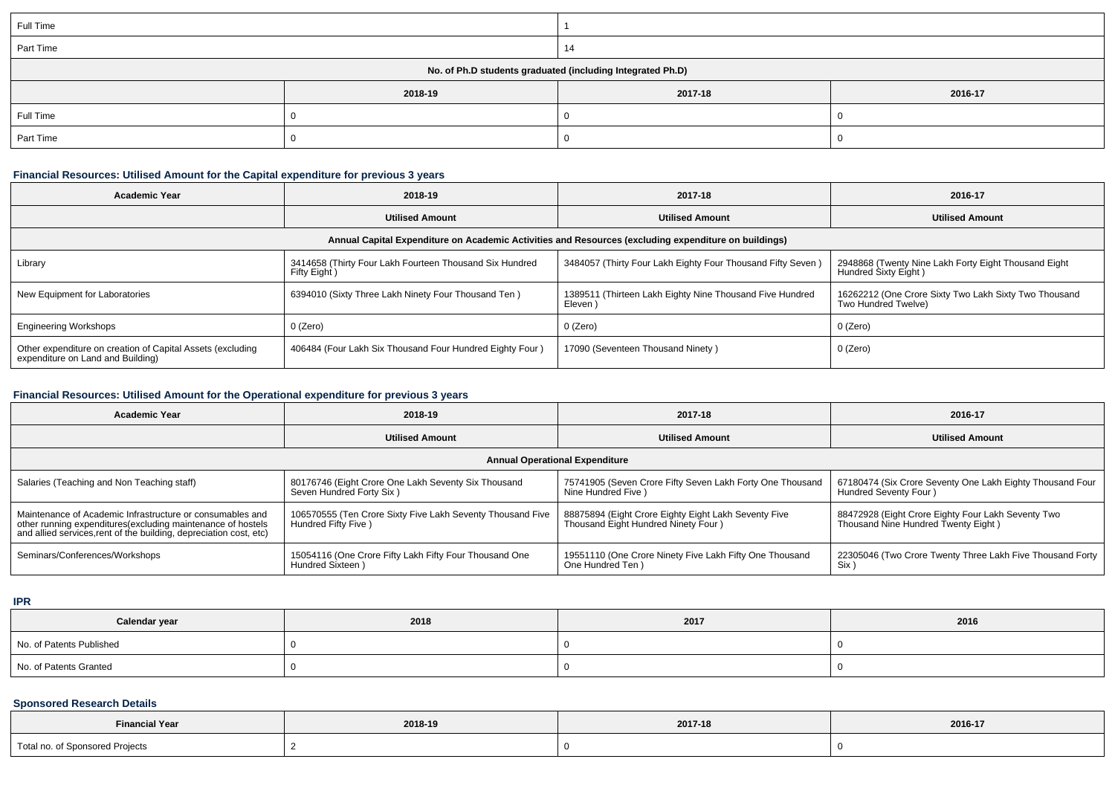| Full Time                                                  |         |         |         |  |  |
|------------------------------------------------------------|---------|---------|---------|--|--|
| Part Time                                                  |         | 14      |         |  |  |
| No. of Ph.D students graduated (including Integrated Ph.D) |         |         |         |  |  |
|                                                            | 2018-19 | 2017-18 | 2016-17 |  |  |
| Full Time                                                  |         |         |         |  |  |
| Part Time                                                  |         |         |         |  |  |

## **Financial Resources: Utilised Amount for the Capital expenditure for previous 3 years**

| <b>Academic Year</b>                                                                                 | 2018-19                                                                 | 2017-18                                                             | 2016-17                                                                      |  |  |  |  |  |
|------------------------------------------------------------------------------------------------------|-------------------------------------------------------------------------|---------------------------------------------------------------------|------------------------------------------------------------------------------|--|--|--|--|--|
|                                                                                                      | <b>Utilised Amount</b>                                                  | <b>Utilised Amount</b>                                              | <b>Utilised Amount</b>                                                       |  |  |  |  |  |
| Annual Capital Expenditure on Academic Activities and Resources (excluding expenditure on buildings) |                                                                         |                                                                     |                                                                              |  |  |  |  |  |
| Library                                                                                              | 3414658 (Thirty Four Lakh Fourteen Thousand Six Hundred<br>Fifty Eight) | 3484057 (Thirty Four Lakh Eighty Four Thousand Fifty Seven)         | 2948868 (Twenty Nine Lakh Forty Eight Thousand Eight<br>Hundred Sixty Eight) |  |  |  |  |  |
| New Equipment for Laboratories                                                                       | 6394010 (Sixty Three Lakh Ninety Four Thousand Ten)                     | 1389511 (Thirteen Lakh Eighty Nine Thousand Five Hundred<br>Eleven) | 16262212 (One Crore Sixty Two Lakh Sixty Two Thousand<br>Two Hundred Twelve) |  |  |  |  |  |
| <b>Engineering Workshops</b>                                                                         | 0 (Zero)                                                                | 0 (Zero)                                                            | 0 (Zero)                                                                     |  |  |  |  |  |
| Other expenditure on creation of Capital Assets (excluding<br>expenditure on Land and Building)      | 406484 (Four Lakh Six Thousand Four Hundred Eighty Four)                | 17090 (Seventeen Thousand Ninety)                                   | 0 (Zero)                                                                     |  |  |  |  |  |

# **Financial Resources: Utilised Amount for the Operational expenditure for previous 3 years**

| <b>Academic Year</b><br>2018-19                                                                                                                                                                |                                                                                    | 2017-18                                                                                      | 2016-17                                                                                   |  |  |  |  |
|------------------------------------------------------------------------------------------------------------------------------------------------------------------------------------------------|------------------------------------------------------------------------------------|----------------------------------------------------------------------------------------------|-------------------------------------------------------------------------------------------|--|--|--|--|
|                                                                                                                                                                                                | <b>Utilised Amount</b>                                                             |                                                                                              | <b>Utilised Amount</b>                                                                    |  |  |  |  |
| <b>Annual Operational Expenditure</b>                                                                                                                                                          |                                                                                    |                                                                                              |                                                                                           |  |  |  |  |
| Salaries (Teaching and Non Teaching staff)                                                                                                                                                     | 80176746 (Eight Crore One Lakh Seventy Six Thousand<br>Seven Hundred Forty Six)    | 75741905 (Seven Crore Fifty Seven Lakh Forty One Thousand<br>Nine Hundred Five )             | 67180474 (Six Crore Seventy One Lakh Eighty Thousand Four<br>Hundred Seventy Four)        |  |  |  |  |
| Maintenance of Academic Infrastructure or consumables and<br>other running expenditures(excluding maintenance of hostels<br>and allied services, rent of the building, depreciation cost, etc) | 106570555 (Ten Crore Sixty Five Lakh Seventy Thousand Five<br>Hundred Fifty Five ) | 88875894 (Eight Crore Eighty Eight Lakh Seventy Five<br>Thousand Eight Hundred Ninety Four ) | 88472928 (Eight Crore Eighty Four Lakh Seventy Two<br>Thousand Nine Hundred Twenty Eight) |  |  |  |  |
| Seminars/Conferences/Workshops                                                                                                                                                                 | 15054116 (One Crore Fifty Lakh Fifty Four Thousand One<br>Hundred Sixteen)         | 19551110 (One Crore Ninety Five Lakh Fifty One Thousand<br>One Hundred Ten )                 | 22305046 (Two Crore Twenty Three Lakh Five Thousand Forty<br>Six )                        |  |  |  |  |

**IPR**

| Calendar year            | 2018 | 2017 | 2016 |
|--------------------------|------|------|------|
| No. of Patents Published |      |      |      |
| No. of Patents Granted   |      |      |      |

### **Sponsored Research Details**

| <b>Financial Year</b>                            | 2018-19 | and the contract of the contract of |         |
|--------------------------------------------------|---------|-------------------------------------|---------|
|                                                  |         | 2017-18                             | 2016-17 |
| Total no. of Sponsored Projects<br>$\sim$ $\sim$ |         |                                     |         |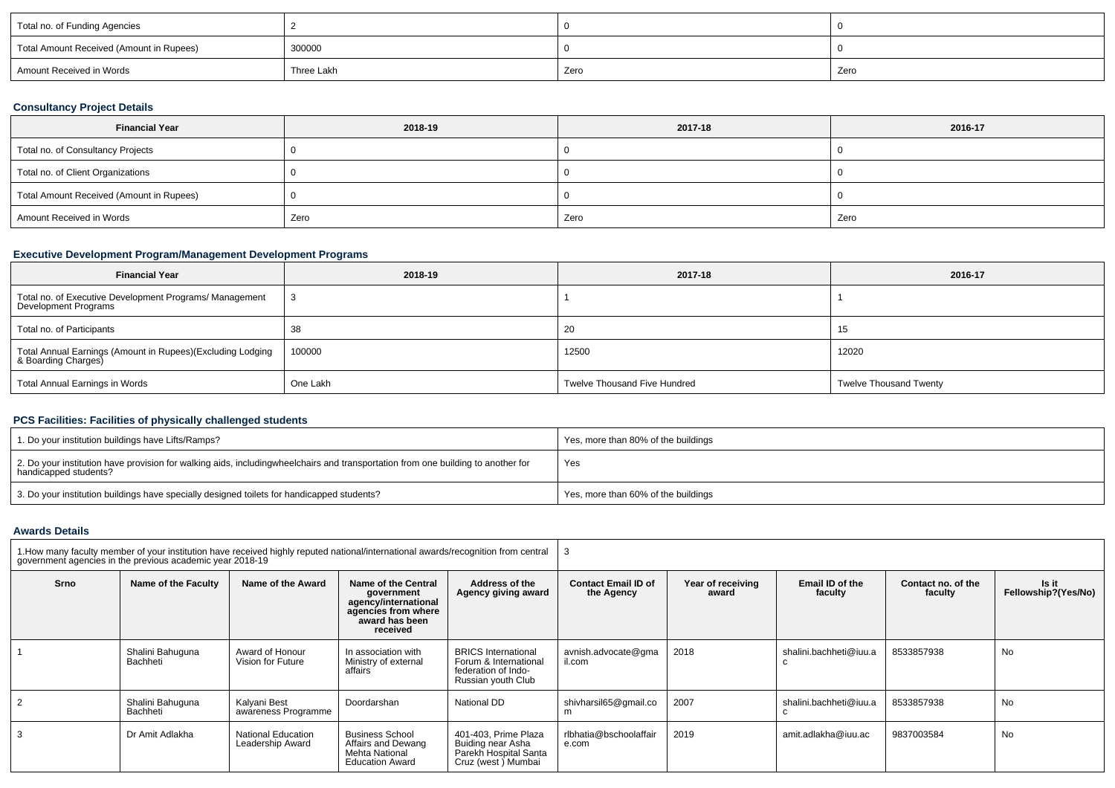| Total no. of Funding Agencies            |            |      |      |  |
|------------------------------------------|------------|------|------|--|
| Total Amount Received (Amount in Rupees) | 300000     |      |      |  |
| Amount Received in Words                 | Three Lakh | Zero | Zero |  |

## **Consultancy Project Details**

| <b>Financial Year</b>                    | 2018-19 | 2017-18 | 2016-17 |  |
|------------------------------------------|---------|---------|---------|--|
| Total no. of Consultancy Projects        |         |         |         |  |
| Total no. of Client Organizations        |         |         |         |  |
| Total Amount Received (Amount in Rupees) |         |         |         |  |
| Amount Received in Words                 | Zero    | Zero    | Zero    |  |

## **Executive Development Program/Management Development Programs**

| <b>Financial Year</b>                                                             | 2018-19  | 2017-18                             | 2016-17                       |
|-----------------------------------------------------------------------------------|----------|-------------------------------------|-------------------------------|
| Total no. of Executive Development Programs/ Management<br>Development Programs   |          |                                     |                               |
| Total no. of Participants                                                         |          | 20                                  | 15                            |
| Total Annual Earnings (Amount in Rupees)(Excluding Lodging<br>& Boarding Charges) | 100000   | 12500                               | 12020                         |
| Total Annual Earnings in Words                                                    | One Lakh | <b>Twelve Thousand Five Hundred</b> | <b>Twelve Thousand Twenty</b> |

## **PCS Facilities: Facilities of physically challenged students**

| 1. Do your institution buildings have Lifts/Ramps?                                                                                                        | Yes, more than 80% of the buildings |
|-----------------------------------------------------------------------------------------------------------------------------------------------------------|-------------------------------------|
| 2. Do your institution have provision for walking aids, includingwheelchairs and transportation from one building to another for<br>handicapped students? | Yes                                 |
| 3. Do your institution buildings have specially designed toilets for handicapped students?                                                                | Yes, more than 60% of the buildings |

### **Awards Details**

| 1. How many faculty member of your institution have received highly reputed national/international awards/recognition from central<br>government agencies in the previous academic year 2018-19 |                              |                                               |                                                                                                                |                                                                                                  |                                          |                            |                            |                               |                              |
|-------------------------------------------------------------------------------------------------------------------------------------------------------------------------------------------------|------------------------------|-----------------------------------------------|----------------------------------------------------------------------------------------------------------------|--------------------------------------------------------------------------------------------------|------------------------------------------|----------------------------|----------------------------|-------------------------------|------------------------------|
| Srno                                                                                                                                                                                            | Name of the Faculty          | Name of the Award                             | Name of the Central<br>government<br>agency/international<br>agencies from where<br>award has been<br>received | Address of the<br>Agency giving award                                                            | <b>Contact Email ID of</b><br>the Agency | Year of receiving<br>award | Email ID of the<br>faculty | Contact no. of the<br>faculty | Is it<br>Fellowship?(Yes/No) |
|                                                                                                                                                                                                 | Shalini Bahuguna<br>Bachheti | Award of Honour<br>Vision for Future          | In association with<br>Ministry of external<br>affairs                                                         | <b>BRICS</b> International<br>Forum & International<br>federation of Indo-<br>Russian youth Club | avnish.advocate@gma<br>il.com            | 2018                       | shalini.bachheti@iuu.a     | 8533857938                    | No                           |
|                                                                                                                                                                                                 | Shalini Bahuguna<br>Bachheti | Kalvani Best<br>awareness Programme           | Doordarshan                                                                                                    | National DD                                                                                      | shivharsil65@gmail.co<br>m               | 2007                       | shalini.bachheti@iuu.a     | 8533857938                    | <b>No</b>                    |
|                                                                                                                                                                                                 | Dr Amit Adlakha              | <b>National Education</b><br>Leadership Award | <b>Business School</b><br>Affairs and Dewang<br>Mehta National<br><b>Education Award</b>                       | 401-403. Prime Plaza<br>Buiding near Asha<br>Parekh Hospital Santa<br>Cruz (west) Mumbai         | rlbhatia@bschoolaffair<br>e.com          | 2019                       | amit.adlakha@iuu.ac        | 9837003584                    | No                           |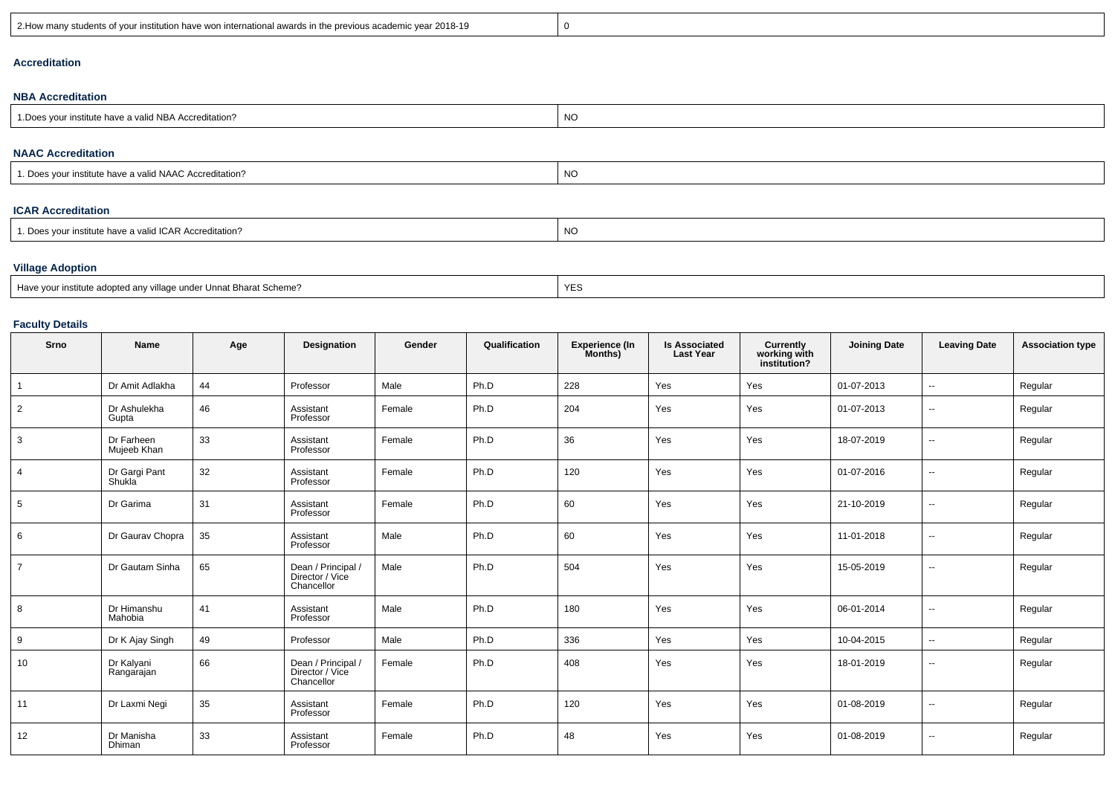| 2018-19<br>? How ma.<br>any students of your institution have won international awards in<br>s in the previous academic vear. |
|-------------------------------------------------------------------------------------------------------------------------------|
|-------------------------------------------------------------------------------------------------------------------------------|

## **Accreditation**

#### **NBA Accreditation**

| <b>NO</b><br>H NBA Accreditation?<br>: Does<br>`vour institute have a valic |  |
|-----------------------------------------------------------------------------|--|
|-----------------------------------------------------------------------------|--|

#### **NAAC Accreditation**

| NC<br>1. Does your institute have a valid NAAC Accreditation? |  |
|---------------------------------------------------------------|--|
|---------------------------------------------------------------|--|

### **ICAR Accreditation**

| ה גרו<br>. Does vour institute have .<br><b>ICAR Accreditation?</b><br>e a validi. | N0 |
|------------------------------------------------------------------------------------|----|
|------------------------------------------------------------------------------------|----|

## **Village Adoption**

| Have your institute adopted any village under Unnat Bharat Scheme? | $\lambda$<br>YES |
|--------------------------------------------------------------------|------------------|
|--------------------------------------------------------------------|------------------|

## **Faculty Details**

| Srno            | Name                      | Age | Designation                                         | Gender | Qualification | Experience (In<br>Months) | <b>Is Associated</b><br><b>Last Year</b> | <b>Currently<br/>working with<br/>institution?</b> | <b>Joining Date</b> | <b>Leaving Date</b>      | <b>Association type</b> |
|-----------------|---------------------------|-----|-----------------------------------------------------|--------|---------------|---------------------------|------------------------------------------|----------------------------------------------------|---------------------|--------------------------|-------------------------|
| $\overline{1}$  | Dr Amit Adlakha           | 44  | Professor                                           | Male   | Ph.D          | 228                       | Yes                                      | Yes                                                | 01-07-2013          | $\overline{\phantom{a}}$ | Regular                 |
| 2               | Dr Ashulekha<br>Gupta     | 46  | Assistant<br>Professor                              | Female | Ph.D          | 204                       | Yes                                      | Yes                                                | 01-07-2013          | $\sim$                   | Regular                 |
| 3               | Dr Farheen<br>Mujeeb Khan | 33  | Assistant<br>Professor                              | Female | Ph.D          | 36                        | Yes                                      | Yes                                                | 18-07-2019          | $\overline{\phantom{a}}$ | Regular                 |
| $\overline{4}$  | Dr Gargi Pant<br>Shukla   | 32  | Assistant<br>Professor                              | Female | Ph.D          | 120                       | Yes                                      | Yes                                                | 01-07-2016          | $\overline{\phantom{a}}$ | Regular                 |
| $5\overline{5}$ | Dr Garima                 | 31  | Assistant<br>Professor                              | Female | Ph.D          | 60                        | Yes                                      | Yes                                                | 21-10-2019          | $\sim$                   | Regular                 |
| 6               | Dr Gaurav Chopra          | 35  | Assistant<br>Professor                              | Male   | Ph.D          | 60                        | Yes                                      | Yes                                                | 11-01-2018          | $\overline{\phantom{a}}$ | Regular                 |
| $\overline{7}$  | Dr Gautam Sinha           | 65  | Dean / Principal /<br>Director / Vice<br>Chancellor | Male   | Ph.D          | 504                       | Yes                                      | Yes                                                | 15-05-2019          | $\sim$                   | Regular                 |
| 8               | Dr Himanshu<br>Mahobia    | 41  | Assistant<br>Professor                              | Male   | Ph.D          | 180                       | Yes                                      | Yes                                                | 06-01-2014          | $\overline{a}$           | Regular                 |
| 9               | Dr K Ajay Singh           | 49  | Professor                                           | Male   | Ph.D          | 336                       | Yes                                      | Yes                                                | 10-04-2015          | $\mathbf{u}$             | Regular                 |
| 10              | Dr Kalyani<br>Rangarajan  | 66  | Dean / Principal /<br>Director / Vice<br>Chancellor | Female | Ph.D          | 408                       | Yes                                      | Yes                                                | 18-01-2019          | $\overline{\phantom{a}}$ | Regular                 |
| 11              | Dr Laxmi Negi             | 35  | Assistant<br>Professor                              | Female | Ph.D          | 120                       | Yes                                      | Yes                                                | 01-08-2019          | $\overline{\phantom{a}}$ | Regular                 |
| 12              | Dr Manisha<br>Dhiman      | 33  | Assistant<br>Professor                              | Female | Ph.D          | 48                        | Yes                                      | Yes                                                | 01-08-2019          | $\overline{a}$           | Regular                 |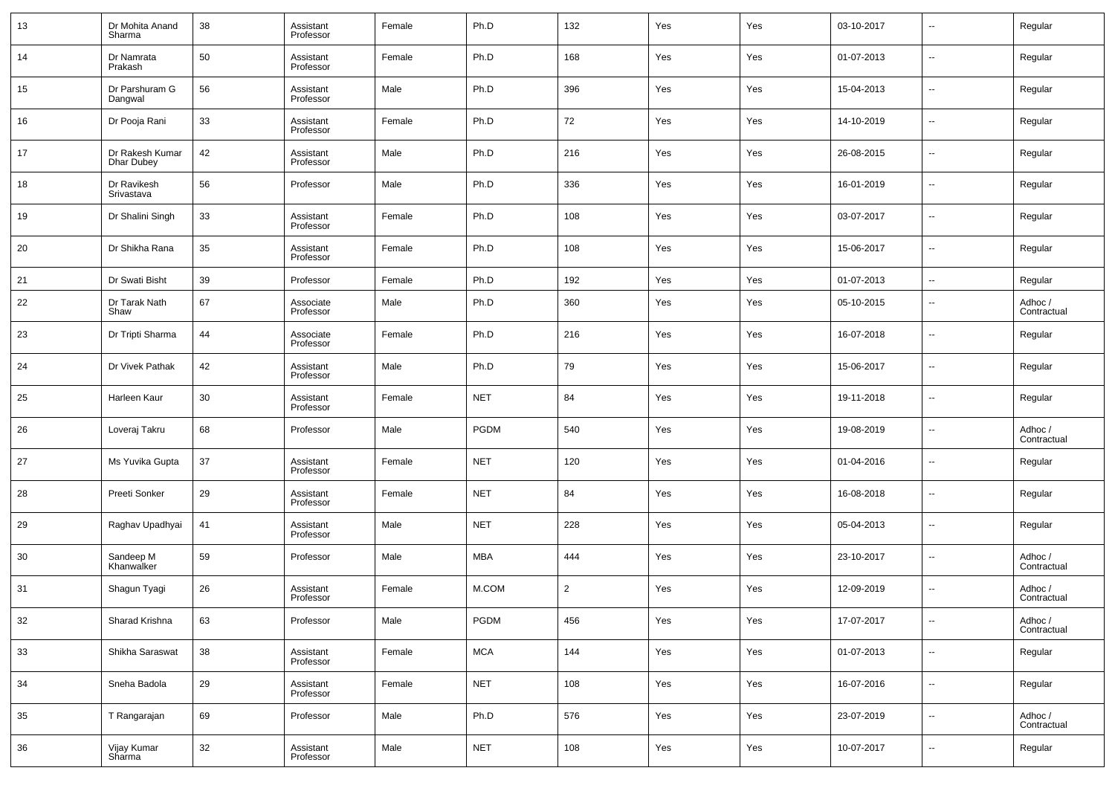| 13 | Dr Mohita Anand<br>Sharma            | 38 | Assistant<br>Professor | Female | Ph.D       | 132            | Yes | Yes | 03-10-2017 | $\overline{\phantom{a}}$ | Regular                |
|----|--------------------------------------|----|------------------------|--------|------------|----------------|-----|-----|------------|--------------------------|------------------------|
| 14 | Dr Namrata<br>Prakash                | 50 | Assistant<br>Professor | Female | Ph.D       | 168            | Yes | Yes | 01-07-2013 | $\overline{\phantom{a}}$ | Regular                |
| 15 | Dr Parshuram G<br>Dangwal            | 56 | Assistant<br>Professor | Male   | Ph.D       | 396            | Yes | Yes | 15-04-2013 | $\overline{\phantom{a}}$ | Regular                |
| 16 | Dr Pooja Rani                        | 33 | Assistant<br>Professor | Female | Ph.D       | 72             | Yes | Yes | 14-10-2019 | $\overline{\phantom{a}}$ | Regular                |
| 17 | Dr Rakesh Kumar<br><b>Dhar Dubey</b> | 42 | Assistant<br>Professor | Male   | Ph.D       | 216            | Yes | Yes | 26-08-2015 | $\ddotsc$                | Regular                |
| 18 | Dr Ravikesh<br>Srivastava            | 56 | Professor              | Male   | Ph.D       | 336            | Yes | Yes | 16-01-2019 | $\overline{\phantom{a}}$ | Regular                |
| 19 | Dr Shalini Singh                     | 33 | Assistant<br>Professor | Female | Ph.D       | 108            | Yes | Yes | 03-07-2017 | $\ddotsc$                | Regular                |
| 20 | Dr Shikha Rana                       | 35 | Assistant<br>Professor | Female | Ph.D       | 108            | Yes | Yes | 15-06-2017 | $\overline{\phantom{a}}$ | Regular                |
| 21 | Dr Swati Bisht                       | 39 | Professor              | Female | Ph.D       | 192            | Yes | Yes | 01-07-2013 | $\overline{\phantom{a}}$ | Regular                |
| 22 | Dr Tarak Nath<br>Shaw                | 67 | Associate<br>Professor | Male   | Ph.D       | 360            | Yes | Yes | 05-10-2015 | $\sim$                   | Adhoc /<br>Contractual |
| 23 | Dr Tripti Sharma                     | 44 | Associate<br>Professor | Female | Ph.D       | 216            | Yes | Yes | 16-07-2018 | $\sim$                   | Regular                |
| 24 | Dr Vivek Pathak                      | 42 | Assistant<br>Professor | Male   | Ph.D       | 79             | Yes | Yes | 15-06-2017 | $\sim$                   | Regular                |
| 25 | Harleen Kaur                         | 30 | Assistant<br>Professor | Female | <b>NET</b> | 84             | Yes | Yes | 19-11-2018 | $\sim$                   | Regular                |
| 26 | Loveraj Takru                        | 68 | Professor              | Male   | PGDM       | 540            | Yes | Yes | 19-08-2019 | $\sim$                   | Adhoc /<br>Contractual |
| 27 | Ms Yuvika Gupta                      | 37 | Assistant<br>Professor | Female | <b>NET</b> | 120            | Yes | Yes | 01-04-2016 | $\sim$                   | Regular                |
| 28 | Preeti Sonker                        | 29 | Assistant<br>Professor | Female | <b>NET</b> | 84             | Yes | Yes | 16-08-2018 | $\sim$                   | Regular                |
| 29 | Raghav Upadhyai                      | 41 | Assistant<br>Professor | Male   | <b>NET</b> | 228            | Yes | Yes | 05-04-2013 | $\sim$                   | Regular                |
| 30 | Sandeep M<br>Khanwalker              | 59 | Professor              | Male   | <b>MBA</b> | 444            | Yes | Yes | 23-10-2017 | $\sim$                   | Adhoc /<br>Contractual |
| 31 | Shagun Tyagi                         | 26 | Assistant<br>Professor | Female | M.COM      | $\overline{2}$ | Yes | Yes | 12-09-2019 | $\sim$                   | Adhoc /<br>Contractual |
| 32 | Sharad Krishna                       | 63 | Professor              | Male   | PGDM       | 456            | Yes | Yes | 17-07-2017 | $\sim$                   | Adhoc /<br>Contractual |
| 33 | Shikha Saraswat                      | 38 | Assistant<br>Professor | Female | <b>MCA</b> | 144            | Yes | Yes | 01-07-2013 | $\overline{\phantom{a}}$ | Regular                |
| 34 | Sneha Badola                         | 29 | Assistant<br>Professor | Female | <b>NET</b> | 108            | Yes | Yes | 16-07-2016 | $\overline{\phantom{a}}$ | Regular                |
| 35 | T Rangarajan                         | 69 | Professor              | Male   | Ph.D       | 576            | Yes | Yes | 23-07-2019 | $\overline{\phantom{a}}$ | Adhoc /<br>Contractual |
| 36 | Vijay Kumar<br>Sharma                | 32 | Assistant<br>Professor | Male   | <b>NET</b> | 108            | Yes | Yes | 10-07-2017 | $\sim$                   | Regular                |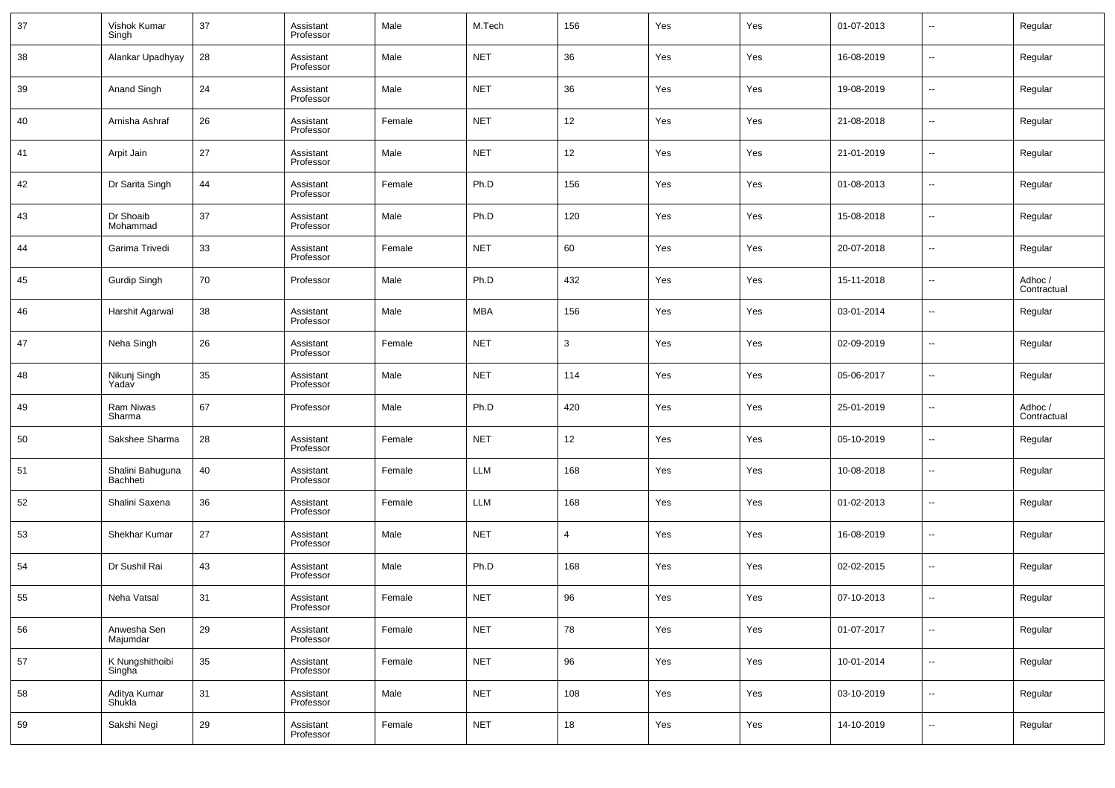| 37 | Vishok Kumar<br>Singh        | 37 | Assistant<br>Professor | Male   | M.Tech     | 156    | Yes | Yes | 01-07-2013 | $\overline{\phantom{a}}$ | Regular                |
|----|------------------------------|----|------------------------|--------|------------|--------|-----|-----|------------|--------------------------|------------------------|
| 38 | Alankar Upadhyay             | 28 | Assistant<br>Professor | Male   | <b>NET</b> | 36     | Yes | Yes | 16-08-2019 | $\overline{\phantom{a}}$ | Regular                |
| 39 | Anand Singh                  | 24 | Assistant<br>Professor | Male   | <b>NET</b> | 36     | Yes | Yes | 19-08-2019 | $\overline{\phantom{a}}$ | Regular                |
| 40 | Arnisha Ashraf               | 26 | Assistant<br>Professor | Female | <b>NET</b> | 12     | Yes | Yes | 21-08-2018 | $\overline{\phantom{a}}$ | Regular                |
| 41 | Arpit Jain                   | 27 | Assistant<br>Professor | Male   | <b>NET</b> | 12     | Yes | Yes | 21-01-2019 | $\overline{\phantom{a}}$ | Regular                |
| 42 | Dr Sarita Singh              | 44 | Assistant<br>Professor | Female | Ph.D       | 156    | Yes | Yes | 01-08-2013 | $\overline{\phantom{a}}$ | Regular                |
| 43 | Dr Shoaib<br>Mohammad        | 37 | Assistant<br>Professor | Male   | Ph.D       | 120    | Yes | Yes | 15-08-2018 | $\overline{\phantom{a}}$ | Regular                |
| 44 | Garima Trivedi               | 33 | Assistant<br>Professor | Female | <b>NET</b> | 60     | Yes | Yes | 20-07-2018 | $\overline{\phantom{a}}$ | Regular                |
| 45 | Gurdip Singh                 | 70 | Professor              | Male   | Ph.D       | 432    | Yes | Yes | 15-11-2018 | $\overline{\phantom{a}}$ | Adhoc /<br>Contractual |
| 46 | Harshit Agarwal              | 38 | Assistant<br>Professor | Male   | <b>MBA</b> | 156    | Yes | Yes | 03-01-2014 | $\overline{\phantom{a}}$ | Regular                |
| 47 | Neha Singh                   | 26 | Assistant<br>Professor | Female | <b>NET</b> | 3      | Yes | Yes | 02-09-2019 | $\overline{\phantom{a}}$ | Regular                |
| 48 | Nikunj Singh<br>Yadav        | 35 | Assistant<br>Professor | Male   | <b>NET</b> | 114    | Yes | Yes | 05-06-2017 | $\overline{\phantom{a}}$ | Regular                |
| 49 | Ram Niwas<br>Sharma          | 67 | Professor              | Male   | Ph.D       | 420    | Yes | Yes | 25-01-2019 | $\overline{\phantom{a}}$ | Adhoc /<br>Contractual |
| 50 | Sakshee Sharma               | 28 | Assistant<br>Professor | Female | <b>NET</b> | 12     | Yes | Yes | 05-10-2019 | $\overline{\phantom{a}}$ | Regular                |
| 51 | Shalini Bahuguna<br>Bachheti | 40 | Assistant<br>Professor | Female | LLM        | 168    | Yes | Yes | 10-08-2018 | $\overline{\phantom{a}}$ | Regular                |
| 52 | Shalini Saxena               | 36 | Assistant<br>Professor | Female | LLM        | 168    | Yes | Yes | 01-02-2013 | $\overline{\phantom{a}}$ | Regular                |
| 53 | Shekhar Kumar                | 27 | Assistant<br>Professor | Male   | <b>NET</b> | 4      | Yes | Yes | 16-08-2019 | $\overline{\phantom{a}}$ | Regular                |
| 54 | Dr Sushil Rai                | 43 | Assistant<br>Professor | Male   | Ph.D       | 168    | Yes | Yes | 02-02-2015 | $\overline{\phantom{a}}$ | Regular                |
| 55 | Neha Vatsal                  | 31 | Assistant<br>Professor | Female | <b>NET</b> | 96     | Yes | Yes | 07-10-2013 | $\overline{\phantom{a}}$ | Regular                |
| 56 | Anwesha Sen<br>Majumdar      | 29 | Assistant<br>Professor | Female | <b>NET</b> | 78     | Yes | Yes | 01-07-2017 | $\overline{\phantom{a}}$ | Regular                |
| 57 | K Nungshithoibi<br>Singha    | 35 | Assistant<br>Professor | Female | <b>NET</b> | 96     | Yes | Yes | 10-01-2014 | $\overline{\phantom{a}}$ | Regular                |
| 58 | Aditya Kumar<br>Shukla       | 31 | Assistant<br>Professor | Male   | <b>NET</b> | 108    | Yes | Yes | 03-10-2019 | $\overline{\phantom{a}}$ | Regular                |
| 59 | Sakshi Negi                  | 29 | Assistant<br>Professor | Female | <b>NET</b> | $18\,$ | Yes | Yes | 14-10-2019 | $\overline{\phantom{a}}$ | Regular                |